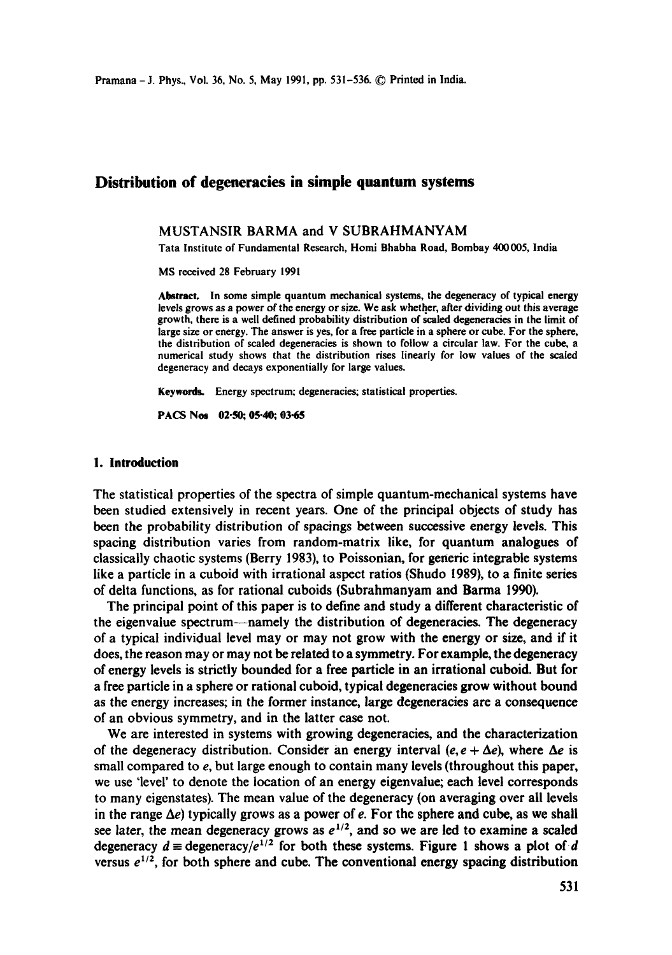# **Distribution of degeneracies in simple quantum systems**

# MUSTANSIR BARMA and V SUBRAHMANYAM

Tara Institute of Fundamental Research, Homi Bhabha Road, Bombay 400005, India

MS received 28 February 1991

Abstract. In some simple quantum mechanical systems, the degeneracy of typical energy levels grows as a power of the energy or size. We ask whether, after dividing out this average growth, there is a well defined probability distribution of scaled degeneracies in the limit of large size or energy. The answer is yes, for a free particle in a sphere or cube. For the sphere, the distribution of sealed degeneracies is shown to follow a circular law. For the cube, a numerical study shows that the distribution rises linearly for low values of the scaled degeneracy and decays exponentially for large values.

Keywords. Energy spectrum; degeneracies; statistical properties.

PACS Nos 02.50; 05.40; 03.65

### **I. Introduction**

The statistical properties of the spectra of simple quantum-mechanical systems have been studied extensively in recent years. One of the principal objects of study has been the probability distribution of spacings between successive energy levels. This spacing distribution varies from random-matrix like, for quantum analogues of classically chaotic systems (Berry 1983), to Poissonian, for generic integrable systems like a particle in a cuboid with irrational aspect ratios (Shudo 1989), to a finite series of delta functions, as for rational cuboids (Subrahmanyam and Barma 1990).

The principal point of this paper is to define and study a different characteristic of the eigenvalue spectrum--namely the distribution of degeneracies. The degeneracy of a typical individual level may or may not grow with the energy or size, and if it does, the reason may or may not be related to a symmetry. For example, the degeneracy of energy levels is strictly bounded for a free particle in an irrational cuboid. But for a free particle in a sphere or rational euboid, typical degeneracies grow without bound as the energy increases; in the former instance, large degeneracies are a consequence of an obvious symmetry, and in the latter case not.

We are interested in systems with growing degeneracies, and the characterization of the degeneracy distribution. Consider an energy interval (e,  $e + \Delta e$ ), where  $\Delta e$  is small compared to e, but large enough to contain many levels (throughout this paper, we use 'level' to denote the location of an energy eigenvalue; each level corresponds to many eigenstates). The mean value of the degeneracy (on averaging over all levels in the range  $\Delta e$ ) typically grows as a power of e. For the sphere and cube, as we shall see later, the mean degeneracy grows as  $e^{1/2}$ , and so we are led to examine a scaled degeneracy  $d \equiv \text{degeneracy}/e^{1/2}$  for both these systems. Figure 1 shows a plot of d versus  $e^{1/2}$ , for both sphere and cube. The conventional energy spacing distribution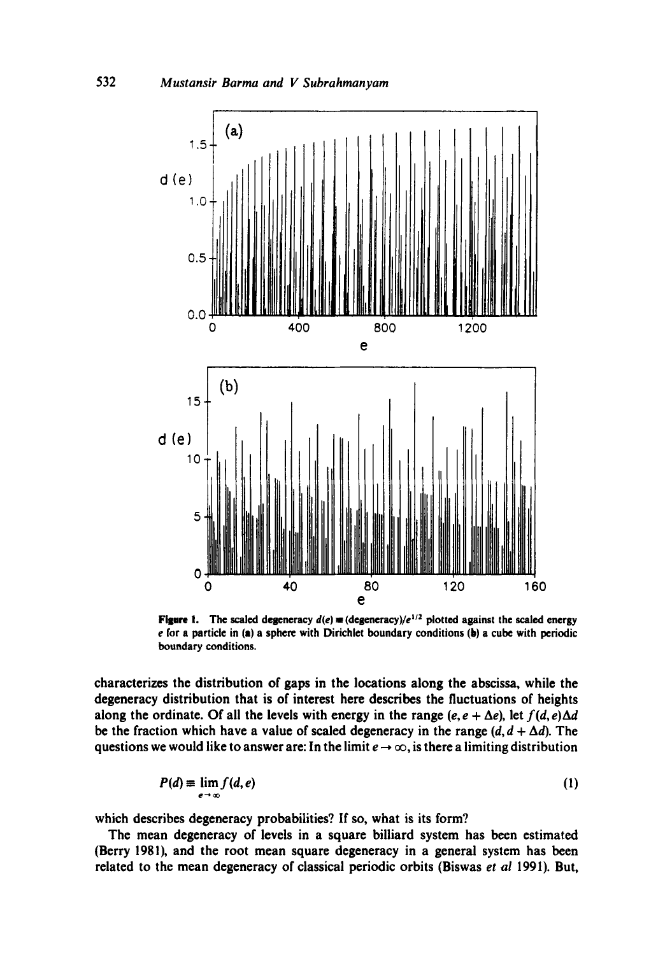

Figure 1. The scaled degeneracy  $d(e)$  = (degeneracy)/ $e^{1/2}$  plotted against the scaled energy e for a particle in (a) a sphere with Dirichlet boundary conditions (b) a cube with periodic boundary conditions.

characterizes the distribution of gaps in the locations along the abscissa, while the degeneracy distribution that is of interest here describes the fluctuations of heights along the ordinate. Of all the levels with energy in the range  $(e, e + \Delta e)$ , let  $f(d, e)\Delta d$ be the fraction which have a value of scaled degeneracy in the range  $(d, d + \Delta d)$ . The questions we would like to answer are: In the limit  $e \to \infty$ , is there a limiting distribution

$$
P(d) \equiv \lim_{e \to \infty} f(d, e) \tag{1}
$$

which describes degeneracy probabilities? If so, what is its form?

The mean degeneracy of levels in a square billiard system has been estimated (Berry 1981), and the root mean square degeneracy in a general system has been related to the mean degeneracy of classical periodic orbits (Biswas *et al* 1991). But,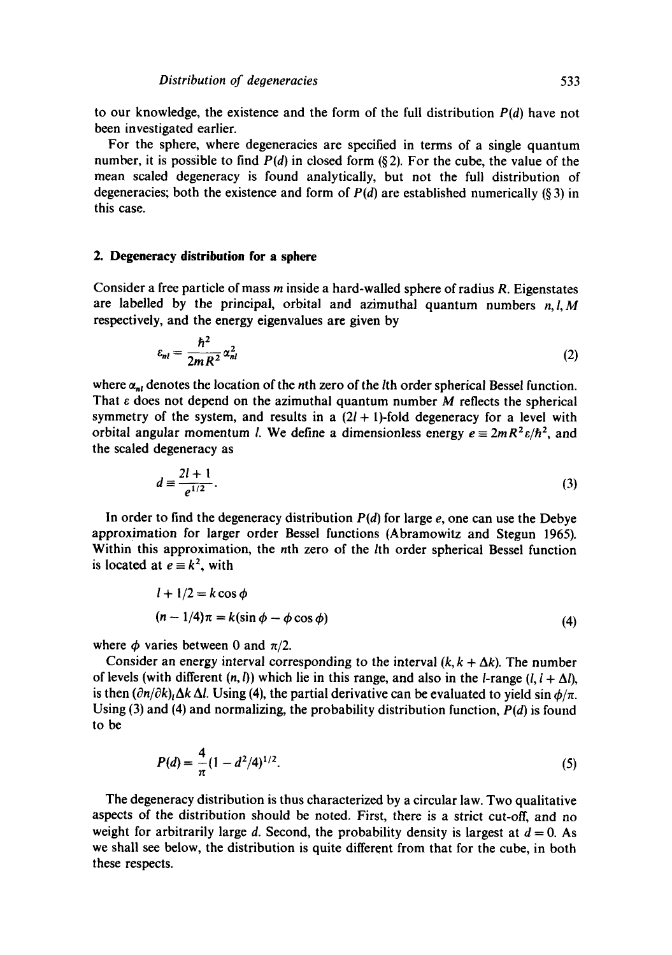to our knowledge, the existence and the form of the full distribution *P(d)* have not been investigated earlier.

For the sphere, where degeneracies are specified in terms of a single quantum number, it is possible to find *P(d)* in closed form (§ 2). For the cube, the value of the mean scaled degeneracy is found analytically, but not the full distribution of degeneracies; both the existence and form of  $P(d)$  are established numerically (§ 3) in this case.

# **2. Degeneracy distribution for a sphere**

Consider a free particle of mass m inside a hard-walled sphere of radius R. Eigenstates are labelled by the principal, orbital and azimuthal quantum numbers *n,l,M*  respectively, and the energy eigenvalues are given by

$$
\varepsilon_{nl} = \frac{\hbar^2}{2mR^2} \alpha_{nl}^2 \tag{2}
$$

where  $\alpha_{nl}$  denotes the location of the nth zero of the lth order spherical Bessel function. That  $\varepsilon$  does not depend on the azimuthal quantum number M reflects the spherical symmetry of the system, and results in a  $(2l + 1)$ -fold degeneracy for a level with orbital angular momentum *l*. We define a dimensionless energy  $e = 2mR^2 \varepsilon/\hbar^2$ , and the scaled degeneracy as

$$
d \equiv \frac{2l+1}{e^{1/2}}.\tag{3}
$$

In order to find the degeneracy distribution  $P(d)$  for large  $e$ , one can use the Debye approximation for larger order Bessel functions (Abramowitz and Stegun 1965). Within this approximation, the nth zero of the *l*th order spherical Bessel function is located at  $e \equiv k^2$ , with

$$
l + 1/2 = k \cos \phi
$$
  
(n-1/4) $\pi = k(\sin \phi - \phi \cos \phi)$  (4)

where  $\phi$  varies between 0 and  $\pi/2$ .

Consider an energy interval corresponding to the interval  $(k, k + \Delta k)$ . The number of levels (with different  $(n, l)$ ) which lie in this range, and also in the *l*-range  $(l, l + \Delta l)$ , is then  $(\partial n/\partial k)_{\mu}\Delta k \Delta l$ . Using (4), the partial derivative can be evaluated to yield sin  $\phi/\pi$ . Using (3) and (4) and normalizing, the probability distribution function, *P(d)* is found to be

$$
P(d) = \frac{4}{\pi} (1 - d^2/4)^{1/2}.
$$
 (5)

The degeneracy distribution is thus characterized by a circular law. Two qualitative aspects of the distribution should be noted. First, there is a strict cut-off, and no weight for arbitrarily large d. Second, the probability density is largest at  $d = 0$ . As we shall see below, the distribution is quite different from that for the cube, in both these respects.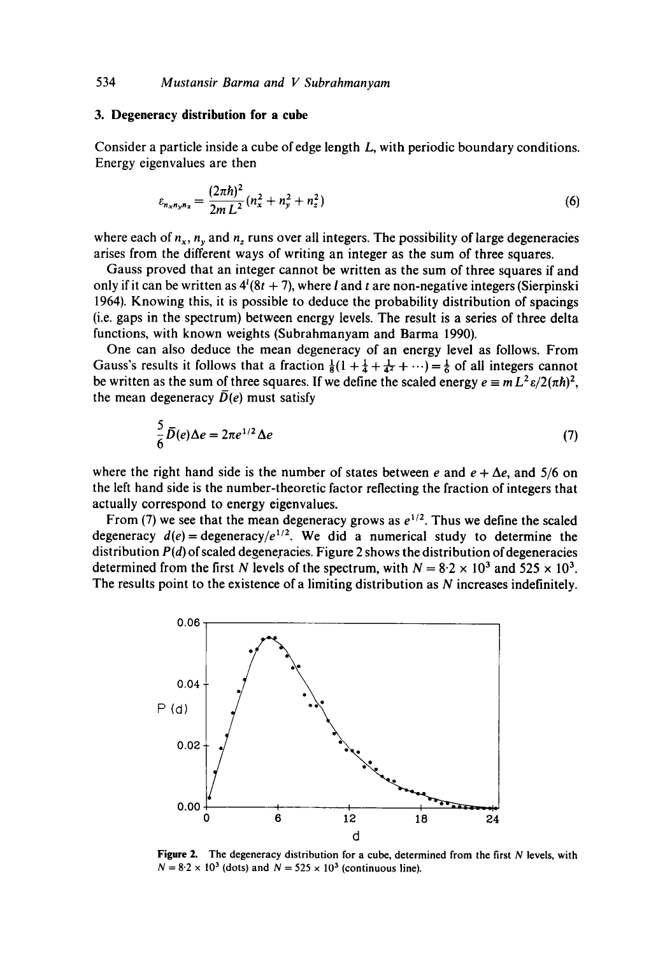## **3. Degeneracy distribution for a cube**

Consider a particle inside a cube of edge length L, with periodic boundary conditions. Energy eigenvalues are then

$$
\varepsilon_{n_x n_y n_z} = \frac{(2\pi\hbar)^2}{2m L^2} (n_x^2 + n_y^2 + n_z^2)
$$
 (6)

where each of  $n_x$ ,  $n_y$  and  $n_z$  runs over all integers. The possibility of large degeneracies arises from the different ways of writing an integer as the sum of three squares.

Gauss proved that an integer cannot be written as the sum of three squares if and only if it can be written as  $4^{i}(8t + 7)$ , where *l* and *t* are non-negative integers (Sierpinski 1964). Knowing this, it is possible to deduce the probability distribution of spacings (i.e. gaps in the spectrum) between energy levels. The result is a series of three delta functions, with known weights (Subrahmanyam and Barma 1990).

One can also deduce the mean degeneracy of an energy level as follows. From Gauss's results it follows that a fraction  $\frac{1}{8}(1 + \frac{1}{4} + \frac{1}{4^2} + \cdots) = \frac{1}{6}$  of all integers cannot be written as the sum of three squares. If we define the scaled energy  $e \equiv m L^2 \epsilon / 2(\pi \hbar)^2$ , the mean degeneracy  $\overline{D}(e)$  must satisfy

$$
\frac{5}{6}\overline{D}(e)\Delta e = 2\pi e^{1/2}\Delta e \tag{7}
$$

where the right hand side is the number of states between e and  $e + \Delta e$ , and 5/6 on the left hand side is the number-theoretic factor reflecting the fraction of integers that actually correspond to energy eigenvalues.

From (7) we see that the mean degeneracy grows as  $e^{1/2}$ . Thus we define the scaled degeneracy  $d(e) = \text{degeneracy}/e^{1/2}$ . We did a numerical study to determine the distribution *P(d)* of scaled degeneracies. Figure 2 shows the distribution of degeneracies determined from the first N levels of the spectrum, with  $N = 8.2 \times 10^3$  and  $525 \times 10^3$ . The results point to the existence of a limiting distribution as N increases indefinitely.



Figure 2. The degeneracy distribution for a cube, determined from the first  $N$  levels, with  $N = 8.2 \times 10^3$  (dots) and  $N = 525 \times 10^3$  (continuous line).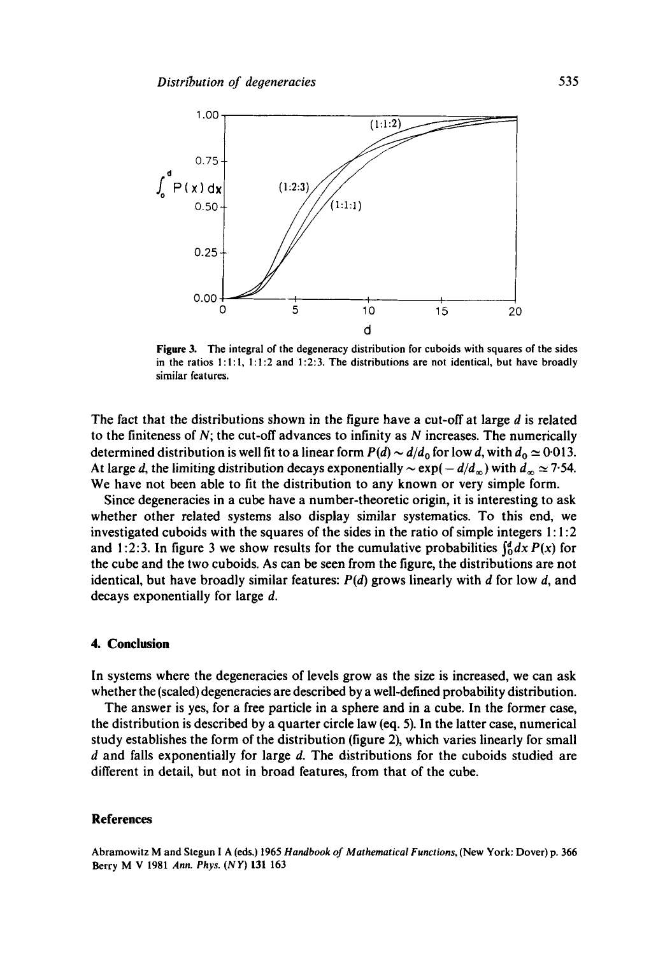

**Figure** 3. The integral of the degeneracy distribution for cuboids with squares of the sides in the ratios  $1:1:1$ ,  $1:1:2$  and  $1:2:3$ . The distributions are not identical, but have broadly similar features.

The fact that the distributions shown in the figure have a cut-off at large  $d$  is related to the finiteness of  $N$ ; the cut-off advances to infinity as  $N$  increases. The numerically determined distribution is well fit to a linear form  $P(d) \sim d/d_0$  for low d, with  $d_0 \simeq 0.013$ . At large d, the limiting distribution decays exponentially  $\sim \exp(-d/d_{\infty})$  with  $d_{\infty} \approx 7.54$ . We have not been able to fit the distribution to any known or very simple form.

Since degeneracies in a cube have a number-theoretic origin, it is interesting to ask whether other related systems also display similar systematies. To this end, we investigated cuboids with the squares of the sides in the ratio of simple integers 1 : **1:2**  and 1:2:3. In figure 3 we show results for the cumulative probabilities  $\int_0^a dx P(x)$  for the cube and the two cuboids. As can be seen from the figure, the distributions are not identical, but have broadly similar features:  $P(d)$  grows linearly with d for low d, and decays exponentially for large d.

## **4. Conclusion**

In systems where the degeneracies of levels grow as the size is increased, we can ask whether the (scaled) degeneracies are described by a well-defined probability distribution.

The answer is yes, for a free particle in a sphere and in a cube. In the former case, the distribution is described by a quarter circle law (eq. 5). In the latter case, numerical study establishes the form of the distribution (figure 2), which varies linearly for small d and falls exponentially for large d. The distributions for the cuboids studied are different in detail, but not in broad features, from that of the cube.

#### **References**

Abramowitz M and Stegun 1 A (eds.) 1965 *Handbook of Mathematical Functions,* (New York: Dover) p. 366 Berry M V 1981 *Ann. Phys. (NY)* 131 163